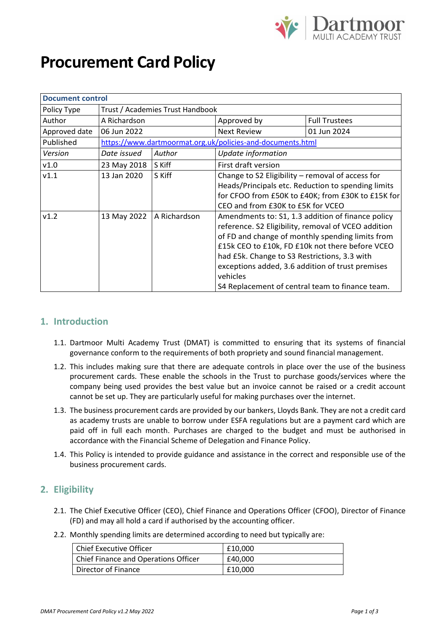

# **Procurement Card Policy**

| <b>Document control</b> |                                                            |        |                                                     |                                                    |
|-------------------------|------------------------------------------------------------|--------|-----------------------------------------------------|----------------------------------------------------|
| Policy Type             | Trust / Academies Trust Handbook                           |        |                                                     |                                                    |
| Author                  | A Richardson                                               |        | Approved by                                         | <b>Full Trustees</b>                               |
| Approved date           | 06 Jun 2022                                                |        | <b>Next Review</b>                                  | 01 Jun 2024                                        |
| Published               | https://www.dartmoormat.org.uk/policies-and-documents.html |        |                                                     |                                                    |
| Version                 | Date issued                                                | Author | Update information                                  |                                                    |
| v1.0                    | 23 May 2018                                                | S Kiff | First draft version                                 |                                                    |
| v1.1                    | 13 Jan 2020                                                | S Kiff | Change to S2 Eligibility - removal of access for    |                                                    |
|                         |                                                            |        |                                                     | Heads/Principals etc. Reduction to spending limits |
|                         |                                                            |        |                                                     | for CFOO from £50K to £40K; from £30K to £15K for  |
|                         |                                                            |        | CEO and from £30K to £5K for VCEO                   |                                                    |
| v1.2                    | 13 May 2022<br>A Richardson                                |        | Amendments to: S1, 1.3 addition of finance policy   |                                                    |
|                         |                                                            |        | reference. S2 Eligibility, removal of VCEO addition |                                                    |
|                         |                                                            |        | of FD and change of monthly spending limits from    |                                                    |
|                         |                                                            |        |                                                     | £15k CEO to £10k, FD £10k not there before VCEO    |
|                         |                                                            |        | had £5k. Change to S3 Restrictions, 3.3 with        |                                                    |
|                         |                                                            |        | exceptions added, 3.6 addition of trust premises    |                                                    |
|                         |                                                            |        | vehicles                                            |                                                    |
|                         |                                                            |        | S4 Replacement of central team to finance team.     |                                                    |

#### **1. Introduction**

- 1.1. Dartmoor Multi Academy Trust (DMAT) is committed to ensuring that its systems of financial governance conform to the requirements of both propriety and sound financial management.
- 1.2. This includes making sure that there are adequate controls in place over the use of the business procurement cards. These enable the schools in the Trust to purchase goods/services where the company being used provides the best value but an invoice cannot be raised or a credit account cannot be set up. They are particularly useful for making purchases over the internet.
- 1.3. The business procurement cards are provided by our bankers, Lloyds Bank. They are not a credit card as academy trusts are unable to borrow under ESFA regulations but are a payment card which are paid off in full each month. Purchases are charged to the budget and must be authorised in accordance with the Financial Scheme of Delegation and Finance Policy.
- 1.4. This Policy is intended to provide guidance and assistance in the correct and responsible use of the business procurement cards.

### **2. Eligibility**

- 2.1. The Chief Executive Officer (CEO), Chief Finance and Operations Officer (CFOO), Director of Finance (FD) and may all hold a card if authorised by the accounting officer.
- 2.2. Monthly spending limits are determined according to need but typically are:

| Chief Executive Officer              | £10.000 |
|--------------------------------------|---------|
| Chief Finance and Operations Officer | £40.000 |
| Director of Finance                  | £10,000 |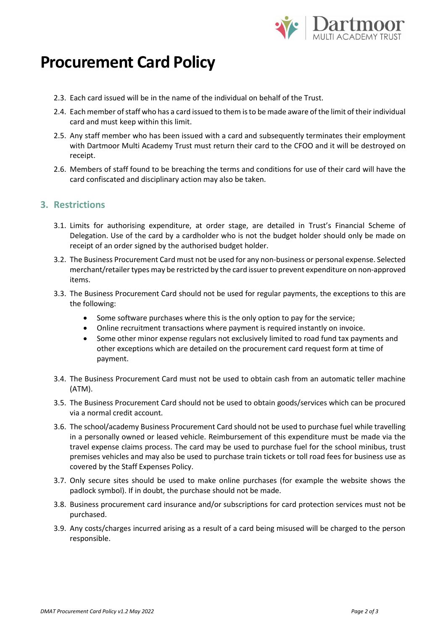

## **Procurement Card Policy**

- 2.3. Each card issued will be in the name of the individual on behalf of the Trust.
- 2.4. Each member of staff who has a card issued to them is to be made aware of the limit of their individual card and must keep within this limit.
- 2.5. Any staff member who has been issued with a card and subsequently terminates their employment with Dartmoor Multi Academy Trust must return their card to the CFOO and it will be destroyed on receipt.
- 2.6. Members of staff found to be breaching the terms and conditions for use of their card will have the card confiscated and disciplinary action may also be taken.

### **3. Restrictions**

- 3.1. Limits for authorising expenditure, at order stage, are detailed in Trust's Financial Scheme of Delegation. Use of the card by a cardholder who is not the budget holder should only be made on receipt of an order signed by the authorised budget holder.
- 3.2. The Business Procurement Card must not be used for any non-business or personal expense. Selected merchant/retailer types may be restricted by the card issuer to prevent expenditure on non-approved items.
- 3.3. The Business Procurement Card should not be used for regular payments, the exceptions to this are the following:
	- Some software purchases where this is the only option to pay for the service;
	- Online recruitment transactions where payment is required instantly on invoice.
	- Some other minor expense regulars not exclusively limited to road fund tax payments and other exceptions which are detailed on the procurement card request form at time of payment.
- 3.4. The Business Procurement Card must not be used to obtain cash from an automatic teller machine (ATM).
- 3.5. The Business Procurement Card should not be used to obtain goods/services which can be procured via a normal credit account.
- 3.6. The school/academy Business Procurement Card should not be used to purchase fuel while travelling in a personally owned or leased vehicle. Reimbursement of this expenditure must be made via the travel expense claims process. The card may be used to purchase fuel for the school minibus, trust premises vehicles and may also be used to purchase train tickets or toll road fees for business use as covered by the Staff Expenses Policy.
- 3.7. Only secure sites should be used to make online purchases (for example the website shows the padlock symbol). If in doubt, the purchase should not be made.
- 3.8. Business procurement card insurance and/or subscriptions for card protection services must not be purchased.
- 3.9. Any costs/charges incurred arising as a result of a card being misused will be charged to the person responsible.